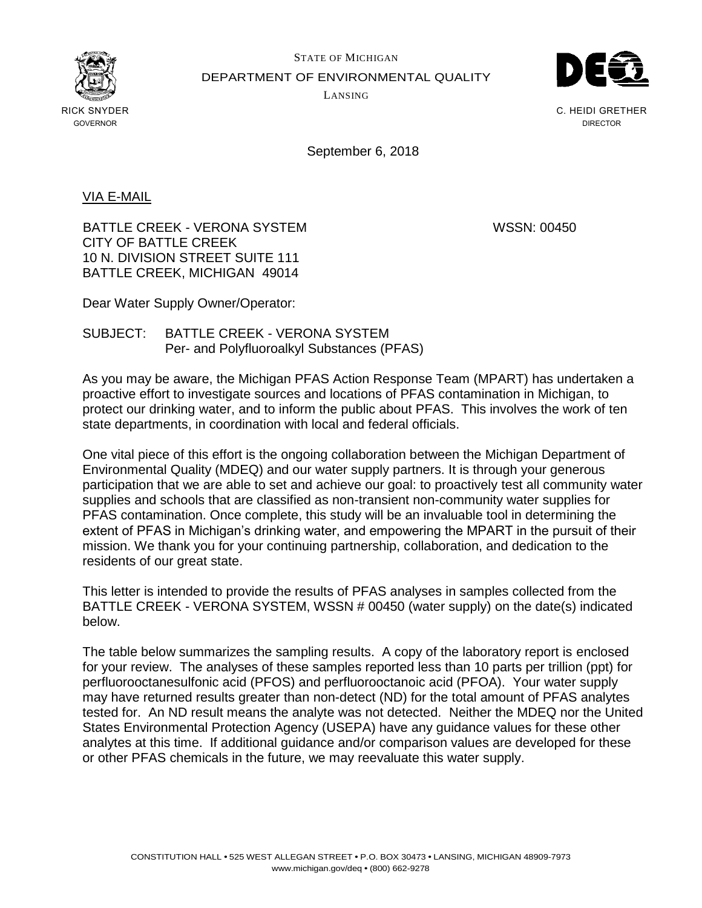

STATE OF MICHIGAN DEPARTMENT OF ENVIRONMENTAL QUALITY LANSING



C. HEIDI GRETHER DIRECTOR

September 6, 2018

VIA E-MAIL

BATTLE CREEK - VERONA SYSTEM WSSN: 00450 CITY OF BATTLE CREEK 10 N. DIVISION STREET SUITE 111 BATTLE CREEK, MICHIGAN 49014

Dear Water Supply Owner/Operator:

## SUBJECT: BATTLE CREEK - VERONA SYSTEM Per- and Polyfluoroalkyl Substances (PFAS)

As you may be aware, the Michigan PFAS Action Response Team (MPART) has undertaken a proactive effort to investigate sources and locations of PFAS contamination in Michigan, to protect our drinking water, and to inform the public about PFAS. This involves the work of ten state departments, in coordination with local and federal officials.

One vital piece of this effort is the ongoing collaboration between the Michigan Department of Environmental Quality (MDEQ) and our water supply partners. It is through your generous participation that we are able to set and achieve our goal: to proactively test all community water supplies and schools that are classified as non-transient non-community water supplies for PFAS contamination. Once complete, this study will be an invaluable tool in determining the extent of PFAS in Michigan's drinking water, and empowering the MPART in the pursuit of their mission. We thank you for your continuing partnership, collaboration, and dedication to the residents of our great state.

This letter is intended to provide the results of PFAS analyses in samples collected from the BATTLE CREEK - VERONA SYSTEM, WSSN # 00450 (water supply) on the date(s) indicated below.

The table below summarizes the sampling results. A copy of the laboratory report is enclosed for your review. The analyses of these samples reported less than 10 parts per trillion (ppt) for perfluorooctanesulfonic acid (PFOS) and perfluorooctanoic acid (PFOA). Your water supply may have returned results greater than non-detect (ND) for the total amount of PFAS analytes tested for. An ND result means the analyte was not detected. Neither the MDEQ nor the United States Environmental Protection Agency (USEPA) have any guidance values for these other analytes at this time. If additional guidance and/or comparison values are developed for these or other PFAS chemicals in the future, we may reevaluate this water supply.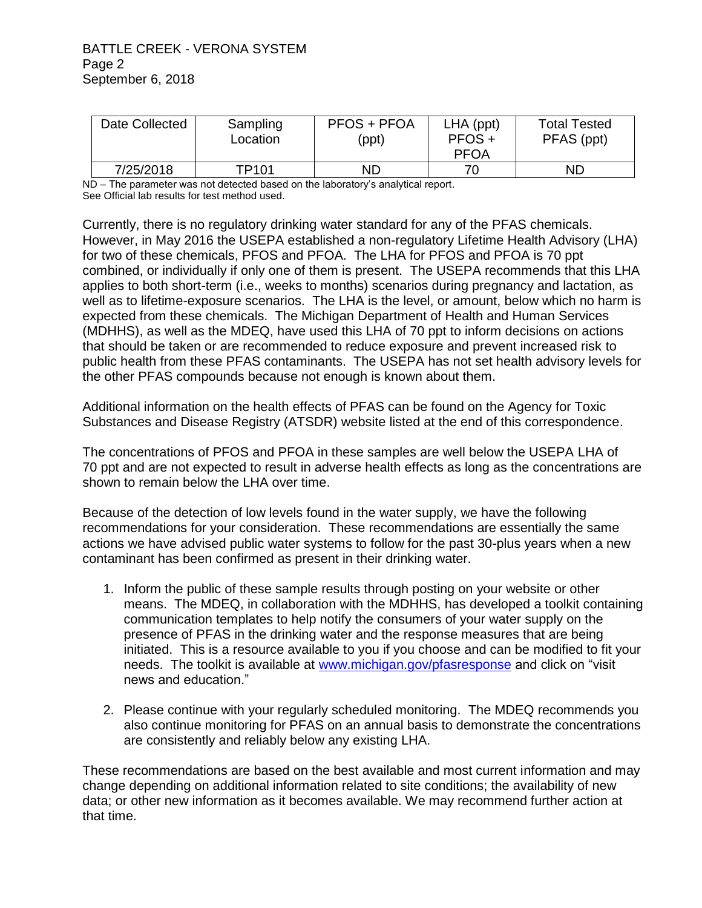## BATTLE CREEK - VERONA SYSTEM Page 2 September 6, 2018

| Date Collected | Sampling<br>Location | <b>PFOS + PFOA</b><br>(ppt) | $LHA$ (ppt)<br>$PFOS +$<br><b>PFOA</b> | <b>Total Tested</b><br>PFAS (ppt) |
|----------------|----------------------|-----------------------------|----------------------------------------|-----------------------------------|
| 7/25/2018      | TP101                | ND                          | 70                                     | ND                                |

ND – The parameter was not detected based on the laboratory's analytical report. See Official lab results for test method used.

Currently, there is no regulatory drinking water standard for any of the PFAS chemicals. However, in May 2016 the USEPA established a non-regulatory Lifetime Health Advisory (LHA) for two of these chemicals, PFOS and PFOA. The LHA for PFOS and PFOA is 70 ppt combined, or individually if only one of them is present. The USEPA recommends that this LHA applies to both short-term (i.e., weeks to months) scenarios during pregnancy and lactation, as well as to lifetime-exposure scenarios. The LHA is the level, or amount, below which no harm is expected from these chemicals. The Michigan Department of Health and Human Services (MDHHS), as well as the MDEQ, have used this LHA of 70 ppt to inform decisions on actions that should be taken or are recommended to reduce exposure and prevent increased risk to public health from these PFAS contaminants. The USEPA has not set health advisory levels for the other PFAS compounds because not enough is known about them.

Additional information on the health effects of PFAS can be found on the Agency for Toxic Substances and Disease Registry (ATSDR) website listed at the end of this correspondence.

The concentrations of PFOS and PFOA in these samples are well below the USEPA LHA of 70 ppt and are not expected to result in adverse health effects as long as the concentrations are shown to remain below the LHA over time.

Because of the detection of low levels found in the water supply, we have the following recommendations for your consideration. These recommendations are essentially the same actions we have advised public water systems to follow for the past 30-plus years when a new contaminant has been confirmed as present in their drinking water.

- 1. Inform the public of these sample results through posting on your website or other means. The MDEQ, in collaboration with the MDHHS, has developed a toolkit containing communication templates to help notify the consumers of your water supply on the presence of PFAS in the drinking water and the response measures that are being initiated. This is a resource available to you if you choose and can be modified to fit your needs. The toolkit is available at [www.michigan.gov/pfasresponse](http://www.michigan.gov/pfasresponse) and click on "visit news and education."
- 2. Please continue with your regularly scheduled monitoring. The MDEQ recommends you also continue monitoring for PFAS on an annual basis to demonstrate the concentrations are consistently and reliably below any existing LHA.

These recommendations are based on the best available and most current information and may change depending on additional information related to site conditions; the availability of new data; or other new information as it becomes available. We may recommend further action at that time.